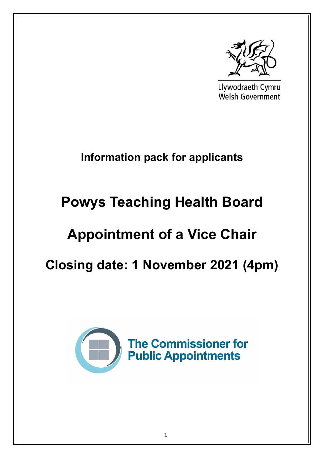

Llywodraeth Cymru **Welsh Government** 

## **Information pack for applicants**

# **Powys Teaching Health Board**

## **Appointment of a Vice Chair**

## **Closing date: 1 November 2021 (4pm)**

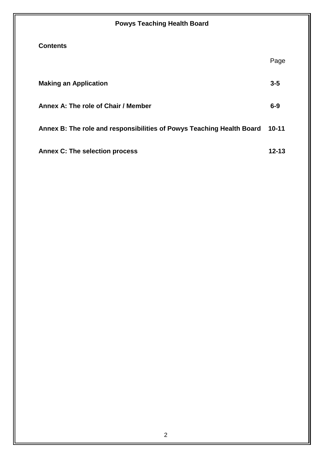| <b>Powys Teaching Health Board</b>                                    |           |  |
|-----------------------------------------------------------------------|-----------|--|
| <b>Contents</b>                                                       |           |  |
|                                                                       | Page      |  |
| <b>Making an Application</b>                                          | $3 - 5$   |  |
| Annex A: The role of Chair / Member                                   | $6 - 9$   |  |
| Annex B: The role and responsibilities of Powys Teaching Health Board | $10 - 11$ |  |
| <b>Annex C: The selection process</b>                                 | 12-13     |  |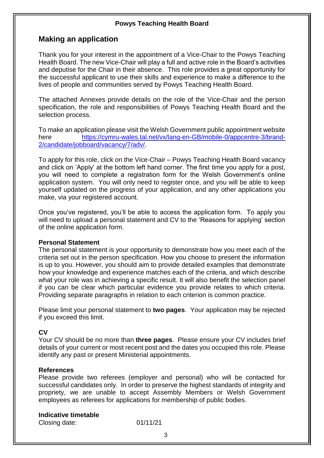### **Making an application**

Thank you for your interest in the appointment of a Vice-Chair to the Powys Teaching Health Board. The new Vice-Chair will play a full and active role in the Board's activities and deputise for the Chair in their absence. This role provides a great opportunity for the successful applicant to use their skills and experience to make a difference to the lives of people and communities served by Powys Teaching Health Board.

The attached Annexes provide details on the role of the Vice-Chair and the person specification, the role and responsibilities of Powys Teaching Health Board and the selection process.

To make an application please visit the Welsh Government public appointment website here [https://cymru-wales.tal.net/vx/lang-en-GB/mobile-0/appcentre-3/brand-](https://cymru-wales.tal.net/vx/lang-en-GB/mobile-0/appcentre-3/brand-2/candidate/jobboard/vacancy/7/adv/)[2/candidate/jobboard/vacancy/7/adv/.](https://cymru-wales.tal.net/vx/lang-en-GB/mobile-0/appcentre-3/brand-2/candidate/jobboard/vacancy/7/adv/)

To apply for this role, click on the Vice-Chair – Powys Teaching Health Board vacancy and click on 'Apply' at the bottom left hand corner. The first time you apply for a post, you will need to complete a registration form for the Welsh Government's online application system. You will only need to register once, and you will be able to keep yourself updated on the progress of your application, and any other applications you make, via your registered account.

Once you've registered, you'll be able to access the application form. To apply you will need to upload a personal statement and CV to the 'Reasons for applying' section of the online application form.

#### **Personal Statement**

The personal statement is your opportunity to demonstrate how you meet each of the criteria set out in the person specification. How you choose to present the information is up to you. However, you should aim to provide detailed examples that demonstrate how your knowledge and experience matches each of the criteria, and which describe what your role was in achieving a specific result. It will also benefit the selection panel if you can be clear which particular evidence you provide relates to which criteria. Providing separate paragraphs in relation to each criterion is common practice.

Please limit your personal statement to **two pages**. Your application may be rejected if you exceed this limit.

#### **CV**

Your CV should be no more than **three pages**. Please ensure your CV includes brief details of your current or most recent post and the dates you occupied this role. Please identify any past or present Ministerial appointments.

#### **References**

Please provide two referees (employer and personal) who will be contacted for successful candidates only. In order to preserve the highest standards of integrity and propriety, we are unable to accept Assembly Members or Welsh Government employees as referees for applications for membership of public bodies.

#### **Indicative timetable**

Closing date: 01/11/21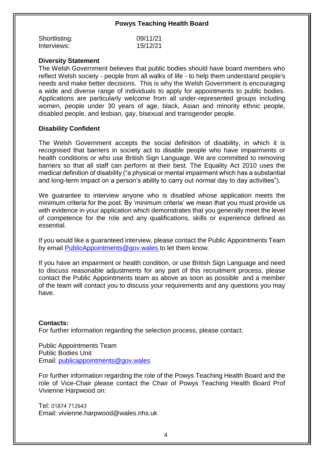| Shortlisting: | 09/11/21 |
|---------------|----------|
| Interviews:   | 15/12/21 |

#### **Diversity Statement**

The Welsh Government believes that public bodies should have board members who reflect Welsh society - people from all walks of life - to help them understand people's needs and make better decisions. This is why the Welsh Government is encouraging a wide and diverse range of individuals to apply for appointments to public bodies. Applications are particularly welcome from all under-represented groups including women, people under 30 years of age, black, Asian and minority ethnic people, disabled people, and lesbian, gay, bisexual and transgender people.

#### **Disability Confident**

The Welsh Government accepts the social definition of disability, in which it is recognised that barriers in society act to disable people who have impairments or health conditions or who use British Sign Language. We are committed to removing barriers so that all staff can perform at their best. The Equality Act 2010 uses the medical definition of disability ("a physical or mental impairment which has a substantial and long-term impact on a person's ability to carry out normal day to day activities").

We guarantee to interview anyone who is disabled whose application meets the minimum criteria for the post. By 'minimum criteria' we mean that you must provide us with evidence in your application which demonstrates that you generally meet the level of competence for the role and any qualifications, skills or experience defined as essential.

If you would like a guaranteed interview, please contact the Public Appointments Team by email [PublicAppointments@gov.wales](mailto:PublicAppointments@gov.wales) to let them know.

If you have an impairment or health condition, or use British Sign Language and need to discuss reasonable adjustments for any part of this recruitment process, please contact the Public Appointments team as above as soon as possible and a member of the team will contact you to discuss your requirements and any questions you may have.

#### **Contacts:**

For further information regarding the selection process, please contact:

Public Appointments Team Public Bodies Unit Email: [publicappointments@gov.wales](mailto:publicappointments@gov.wales)

For further information regarding the role of the Powys Teaching Health Board and the role of Vice-Chair please contact the Chair of Powys Teaching Health Board Prof Vivienne Harpwood on:

Tel: 01874 712643 Email: vivienne.harpwood@wales.nhs.uk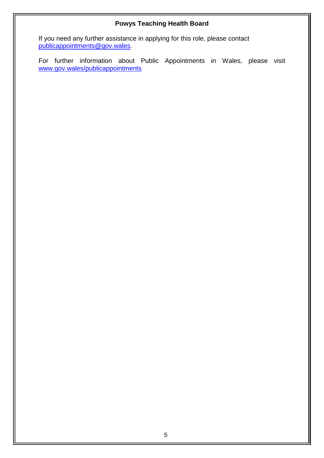If you need any further assistance in applying for this role, please contact [publicappointments@gov.wales.](mailto:publicappointments@gov.wales)

For further information about Public Appointments in Wales, please visit [www.gov.wales/publicappointments](http://www.gov.wales/publicappointments)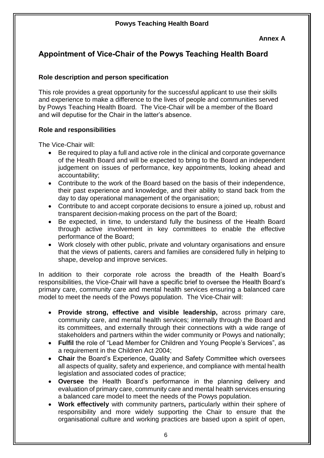### **Appointment of Vice-Chair of the Powys Teaching Health Board**

#### **Role description and person specification**

This role provides a great opportunity for the successful applicant to use their skills and experience to make a difference to the lives of people and communities served by Powys Teaching Health Board.The Vice-Chair will be a member of the Board and will deputise for the Chair in the latter's absence.

#### **Role and responsibilities**

The Vice-Chair will:

- Be required to play a full and active role in the clinical and corporate governance of the Health Board and will be expected to bring to the Board an independent judgement on issues of performance, key appointments, looking ahead and accountability;
- Contribute to the work of the Board based on the basis of their independence, their past experience and knowledge, and their ability to stand back from the day to day operational management of the organisation;
- Contribute to and accept corporate decisions to ensure a joined up, robust and transparent decision-making process on the part of the Board;
- Be expected, in time, to understand fully the business of the Health Board through active involvement in key committees to enable the effective performance of the Board;
- Work closely with other public, private and voluntary organisations and ensure that the views of patients, carers and families are considered fully in helping to shape, develop and improve services.

In addition to their corporate role across the breadth of the Health Board's responsibilities, the Vice-Chair will have a specific brief to oversee the Health Board's primary care, community care and mental health services ensuring a balanced care model to meet the needs of the Powys population. The Vice-Chair will:

- **Provide strong, effective and visible leadership,** across primary care, community care, and mental health services; internally through the Board and its committees, and externally through their connections with a wide range of stakeholders and partners within the wider community or Powys and nationally;
- **Fulfil** the role of "Lead Member for Children and Young People's Services", as a requirement in the Children Act 2004;
- **Chair** the Board's Experience, Quality and Safety Committee which oversees all aspects of quality, safety and experience, and compliance with mental health legislation and associated codes of practice;
- **Oversee** the Health Board's performance in the planning delivery and evaluation of primary care, community care and mental health services ensuring a balanced care model to meet the needs of the Powys population.
- **Work effectively** with community partners**,** particularly within their sphere of responsibility and more widely supporting the Chair to ensure that the organisational culture and working practices are based upon a spirit of open,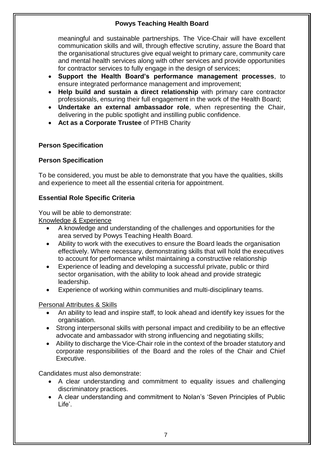meaningful and sustainable partnerships. The Vice-Chair will have excellent communication skills and will, through effective scrutiny, assure the Board that the organisational structures give equal weight to primary care, community care and mental health services along with other services and provide opportunities for contractor services to fully engage in the design of services;

- **Support the Health Board's performance management processes**, to ensure integrated performance management and improvement;
- **Help build and sustain a direct relationship** with primary care contractor professionals, ensuring their full engagement in the work of the Health Board;
- **Undertake an external ambassador role**, when representing the Chair, delivering in the public spotlight and instilling public confidence.
- **Act as a Corporate Trustee** of PTHB Charity

#### **Person Specification**

#### **Person Specification**

To be considered, you must be able to demonstrate that you have the qualities, skills and experience to meet all the essential criteria for appointment.

#### **Essential Role Specific Criteria**

You will be able to demonstrate:

Knowledge & Experience

- A knowledge and understanding of the challenges and opportunities for the area served by Powys Teaching Health Board.
- Ability to work with the executives to ensure the Board leads the organisation effectively. Where necessary, demonstrating skills that will hold the executives to account for performance whilst maintaining a constructive relationship
- Experience of leading and developing a successful private, public or third sector organisation, with the ability to look ahead and provide strategic leadership.
- Experience of working within communities and multi-disciplinary teams.

#### Personal Attributes & Skills

- An ability to lead and inspire staff, to look ahead and identify key issues for the organisation.
- Strong interpersonal skills with personal impact and credibility to be an effective advocate and ambassador with strong influencing and negotiating skills;
- Ability to discharge the Vice-Chair role in the context of the broader statutory and corporate responsibilities of the Board and the roles of the Chair and Chief Executive.

Candidates must also demonstrate:

- A clear understanding and commitment to equality issues and challenging discriminatory practices.
- A clear understanding and commitment to Nolan's 'Seven Principles of Public Life'.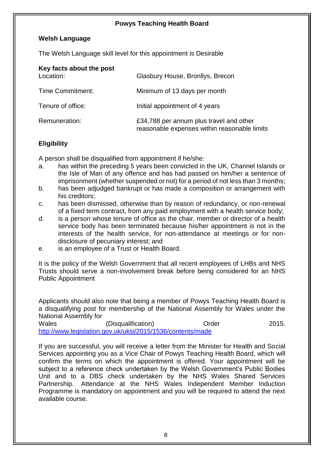#### **Welsh Language**

The Welsh Language skill level for this appointment is Desirable

| Key facts about the post<br>Location: | Glasbury House, Bronllys, Brecon                                                        |
|---------------------------------------|-----------------------------------------------------------------------------------------|
| Time Commitment:                      | Minimum of 13 days per month                                                            |
| Tenure of office:                     | Initial appointment of 4 years                                                          |
| Remuneration:                         | £34,788 per annum plus travel and other<br>reasonable expenses within reasonable limits |

#### **Eligibility**

A person shall be disqualified from appointment if he/she:

- a. has within the preceding 5 years been convicted in the UK, Channel Islands or the Isle of Man of any offence and has had passed on him/her a sentence of imprisonment (whether suspended or not) for a period of not less than 3 months;
- b. has been adjudged bankrupt or has made a composition or arrangement with his creditors;
- c. has been dismissed, otherwise than by reason of redundancy, or non-renewal of a fixed term contract, from any paid employment with a health service body;
- d. is a person whose tenure of office as the chair, member or director of a health service body has been terminated because his/her appointment is not in the interests of the health service, for non-attendance at meetings or for nondisclosure of pecuniary interest; and
- e. is an employee of a Trust or Health Board.

It is the policy of the Welsh Government that all recent employees of LHBs and NHS Trusts should serve a non-involvement break before being considered for an NHS Public Appointment

Applicants should also note that being a member of Powys Teaching Health Board is a disqualifying post for membership of the National Assembly for Wales under the National Assembly for

Wales (Disqualification) Order 2015. <http://www.legislation.gov.uk/uksi/2015/1536/contents/made>

If you are successful, you will receive a letter from the Minister for Health and Social Services appointing you as a Vice Chair of Powys Teaching Health Board, which will confirm the terms on which the appointment is offered. Your appointment will be subject to a reference check undertaken by the Welsh Government's Public Bodies Unit and to a DBS check undertaken by the NHS Wales Shared Services Partnership. Attendance at the NHS Wales Independent Member Induction Programme is mandatory on appointment and you will be required to attend the next available course.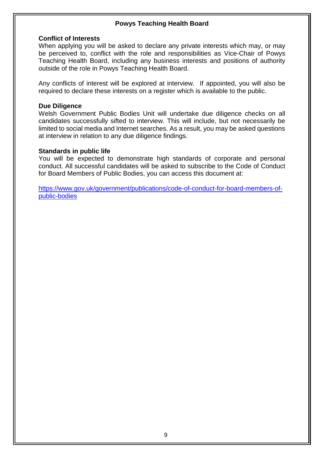#### **Conflict of Interests**

When applying you will be asked to declare any private interests which may, or may be perceived to, conflict with the role and responsibilities as Vice-Chair of Powys Teaching Health Board, including any business interests and positions of authority outside of the role in Powys Teaching Health Board.

Any conflicts of interest will be explored at interview. If appointed, you will also be required to declare these interests on a register which is available to the public.

#### **Due Diligence**

Welsh Government Public Bodies Unit will undertake due diligence checks on all candidates successfully sifted to interview. This will include, but not necessarily be limited to social media and Internet searches. As a result, you may be asked questions at interview in relation to any due diligence findings.

#### **Standards in public life**

You will be expected to demonstrate high standards of corporate and personal conduct. All successful candidates will be asked to subscribe to the Code of Conduct for Board Members of Public Bodies, you can access this document at:

[https://www.gov.uk/government/publications/code-of-conduct-for-board-members-of](https://www.gov.uk/government/publications/code-of-conduct-for-board-members-of-public-bodies)[public-bodies](https://www.gov.uk/government/publications/code-of-conduct-for-board-members-of-public-bodies)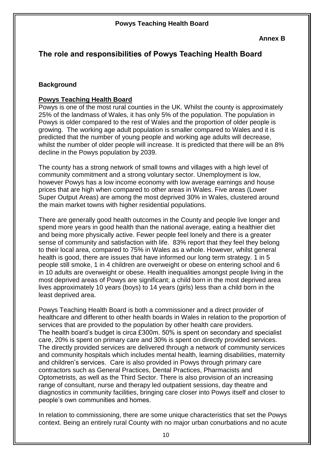## **The role and responsibilities of Powys Teaching Health Board**

#### **Background**

#### **Powys Teaching Health Board**

Powys is one of the most rural counties in the UK. Whilst the county is approximately 25% of the landmass of Wales, it has only 5% of the population. The population in Powys is older compared to the rest of Wales and the proportion of older people is growing. The working age adult population is smaller compared to Wales and it is predicted that the number of young people and working age adults will decrease, whilst the number of older people will increase. It is predicted that there will be an 8% decline in the Powys population by 2039.

The county has a strong network of small towns and villages with a high level of community commitment and a strong voluntary sector. Unemployment is low, however Powys has a low income economy with low average earnings and house prices that are high when compared to other areas in Wales. Five areas (Lower Super Output Areas) are among the most deprived 30% in Wales, clustered around the main market towns with higher residential populations.

There are generally good health outcomes in the County and people live longer and spend more years in good health than the national average, eating a healthier diet and being more physically active. Fewer people feel lonely and there is a greater sense of community and satisfaction with life. 83% report that they feel they belong to their local area, compared to 75% in Wales as a whole. However, whilst general health is good, there are issues that have informed our long term strategy. 1 in 5 people still smoke, 1 in 4 children are overweight or obese on entering school and 6 in 10 adults are overweight or obese. Health inequalities amongst people living in the most deprived areas of Powys are significant; a child born in the most deprived area lives approximately 10 years (boys) to 14 years (girls) less than a child born in the least deprived area.

Powys Teaching Health Board is both a commissioner and a direct provider of healthcare and different to other health boards in Wales in relation to the proportion of services that are provided to the population by other health care providers. The health board's budget is circa £300m. 50% is spent on secondary and specialist care, 20% is spent on primary care and 30% is spent on directly provided services. The directly provided services are delivered through a network of community services and community hospitals which includes mental health, learning disabilities, maternity and children's services. Care is also provided in Powys through primary care contractors such as General Practices, Dental Practices, Pharmacists and Optometrists, as well as the Third Sector. There is also provision of an increasing range of consultant, nurse and therapy led outpatient sessions, day theatre and diagnostics in community facilities, bringing care closer into Powys itself and closer to people's own communities and homes.

In relation to commissioning, there are some unique characteristics that set the Powys context. Being an entirely rural County with no major urban conurbations and no acute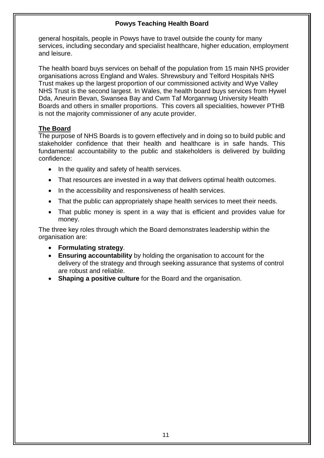general hospitals, people in Powys have to travel outside the county for many services, including secondary and specialist healthcare, higher education, employment and leisure.

The health board buys services on behalf of the population from 15 main NHS provider organisations across England and Wales. Shrewsbury and Telford Hospitals NHS Trust makes up the largest proportion of our commissioned activity and Wye Valley NHS Trust is the second largest. In Wales, the health board buys services from Hywel Dda, Aneurin Bevan, Swansea Bay and Cwm Taf Morgannwg University Health Boards and others in smaller proportions. This covers all specialities, however PTHB is not the majority commissioner of any acute provider.

#### **The Board**

The purpose of NHS Boards is to govern effectively and in doing so to build public and stakeholder confidence that their health and healthcare is in safe hands. This fundamental accountability to the public and stakeholders is delivered by building confidence:

- In the quality and safety of health services.
- That resources are invested in a way that delivers optimal health outcomes.
- In the accessibility and responsiveness of health services.
- That the public can appropriately shape health services to meet their needs.
- That public money is spent in a way that is efficient and provides value for money.

The three key roles through which the Board demonstrates leadership within the organisation are:

- **Formulating strategy**.
- **Ensuring accountability** by holding the organisation to account for the delivery of the strategy and through seeking assurance that systems of control are robust and reliable.
- **Shaping a positive culture** for the Board and the organisation.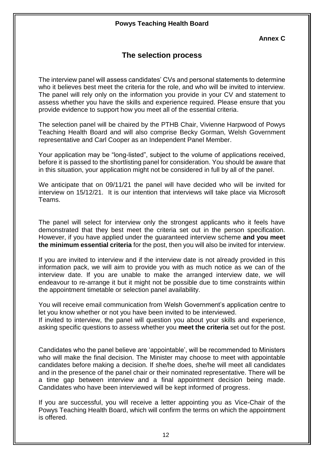**Annex C**

### **The selection process**

The interview panel will assess candidates' CVs and personal statements to determine who it believes best meet the criteria for the role, and who will be invited to interview. The panel will rely only on the information you provide in your CV and statement to assess whether you have the skills and experience required. Please ensure that you provide evidence to support how you meet all of the essential criteria.

The selection panel will be chaired by the PTHB Chair, Vivienne Harpwood of Powys Teaching Health Board and will also comprise Becky Gorman, Welsh Government representative and Carl Cooper as an Independent Panel Member.

Your application may be "long-listed", subject to the volume of applications received, before it is passed to the shortlisting panel for consideration. You should be aware that in this situation, your application might not be considered in full by all of the panel.

We anticipate that on 09/11/21 the panel will have decided who will be invited for interview on 15/12/21. It is our intention that interviews will take place via Microsoft Teams.

The panel will select for interview only the strongest applicants who it feels have demonstrated that they best meet the criteria set out in the person specification. However, if you have applied under the guaranteed interview scheme **and you meet the minimum essential criteria** for the post, then you will also be invited for interview.

If you are invited to interview and if the interview date is not already provided in this information pack, we will aim to provide you with as much notice as we can of the interview date. If you are unable to make the arranged interview date, we will endeavour to re-arrange it but it might not be possible due to time constraints within the appointment timetable or selection panel availability.

You will receive email communication from Welsh Government's application centre to let you know whether or not you have been invited to be interviewed.

If invited to interview, the panel will question you about your skills and experience, asking specific questions to assess whether you **meet the criteria** set out for the post.

Candidates who the panel believe are 'appointable', will be recommended to Ministers who will make the final decision. The Minister may choose to meet with appointable candidates before making a decision. If she/he does, she/he will meet all candidates and in the presence of the panel chair or their nominated representative. There will be a time gap between interview and a final appointment decision being made. Candidates who have been interviewed will be kept informed of progress.

If you are successful, you will receive a letter appointing you as Vice-Chair of the Powys Teaching Health Board, which will confirm the terms on which the appointment is offered.